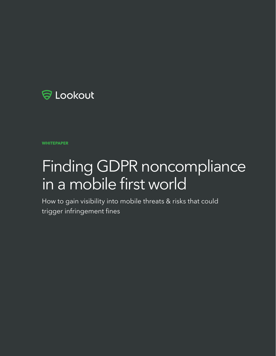

## **WHITEPAPER**

# Finding GDPR noncompliance in a mobile first world

How to gain visibility into mobile threats & risks that could trigger infringement fines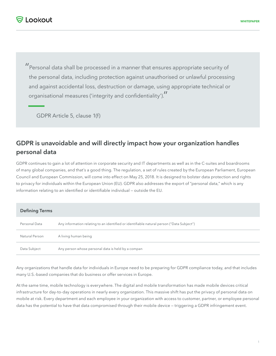"Personal data shall be processed in a manner that ensures appropriate security of the personal data, including protection against unauthorised or unlawful processing and against accidental loss, destruction or damage, using appropriate technical or organisational measures ('integrity and confidentiality')."

GDPR Article 5, clause 1(f)

# **GDPR is unavoidable and will directly impact how your organization handles personal data**

GDPR continues to gain a lot of attention in corporate security and IT departments as well as in the C-suites and boardrooms of many global companies, and that's a good thing. The regulation, a set of rules created by the European Parliament, European Council and European Commission, will come into effect on May 25, 2018. It is designed to bolster data protection and rights to privacy for individuals within the European Union (EU). GDPR also addresses the export of "personal data," which is any information relating to an identified or identifiable individual — outside the EU.

| <b>Defining Terms</b> |                                                                                           |
|-----------------------|-------------------------------------------------------------------------------------------|
| Personal Data         | Any information relating to an identified or identifiable natural person ("Data Subject") |
| Natural Person        | A living human being                                                                      |
| Data Subject          | Any person whose personal data is held by a compan                                        |

Any organizations that handle data for individuals in Europe need to be preparing for GDPR compliance today, and that includes many U.S.-based companies that do business or offer services in Europe.

At the same time, mobile technology is everywhere. The digital and mobile transformation has made mobile devices critical infrastructure for day-to-day operations in nearly every organization. This massive shift has put the privacy of personal data on mobile at risk. Every department and each employee in your organization with access to customer, partner, or employee personal data has the potential to have that data compromised through their mobile device — triggering a GDPR infringement event.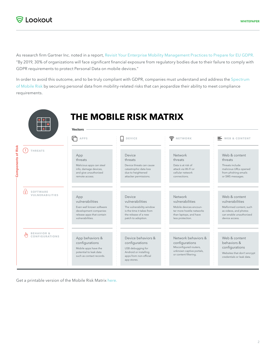As research firm Gartner Inc. noted in a report, [Revisit Your Enterprise Mobility Management Practices to Prepare for EU GDPR](https://www.gartner.com/doc/3709317/revisit-enterprise-mobility-management-practices). "By 2019, 30% of organizations will face significant financial exposure from regulatory bodies due to their failure to comply with GDPR requirements to protect Personal Data on mobile devices."

In order to avoid this outcome, and to be truly compliant with GDPR, companies must understand and address the [Spectrum](https://www.lookout.com/spectrum-of-mobile-risk)  [of Mobile Risk](https://www.lookout.com/spectrum-of-mobile-risk) by securing personal data from mobility-related risks that can jeopardize their ability to meet compliance requirements.



Get a printable version of the Mobile Risk Matrix [here.](https://www.lookout.com/info/mobile-risk-matrix)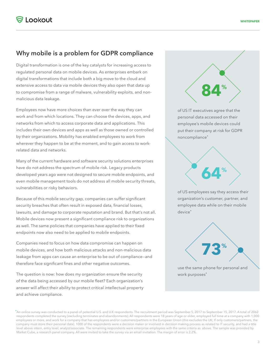# **Why mobile is a problem for GDPR compliance**

Digital transformation is one of the key catalysts for increasing access to regulated personal data on mobile devices. As enterprises embark on digital transformations that include both a big move to the cloud and extensive access to data via mobile devices they also open that data up to compromise from a range of malware, vulnerability exploits, and nonmalicious data leakage.

Employees now have more choices than ever over the way they can work and from which locations. They can choose the devices, apps, and networks from which to access corporate data and applications. This includes their own devices and apps as well as those owned or controlled by their organizations. Mobility has enabled employees to work from wherever they happen to be at the moment, and to gain access to workrelated data and networks.

Many of the current hardware and software security solutions enterprises have do not address the spectrum of mobile risk. Legacy products developed years ago were not designed to secure mobile endpoints, and even mobile management tools do not address all mobile security threats, vulnerabilities or risky behaviors.

Because of this mobile security gap, companies can suffer significant security breaches that often result in exposed data, financial losses, lawsuits, and damage to corporate reputation and brand. But that's not all. Mobile devices now present a significant compliance risk to organizations as well. The same policies that companies have applied to their fixed endpoints now also need to be applied to mobile endpoints.

Companies need to focus on how data compromise can happen on mobile devices, and how both malicious attacks and non-malicious data leakage from apps can cause an enterprise to be out of compliance—and therefore face significant fines and other negative outcomes.

The question is now: how does my organization ensure the security of the data being accessed by our mobile fleet? Each organization's answer will affect their ability to protect critical intellectual property and achieve compliance.



<sup>\*</sup>An online survey was conducted to a panel of potential U.S. and U.K respondents. The recruitment period was September 5, 2017 to September 15, 2017. A total of 2062 respondents completed the survey (excluding terminates and abandonments). All respondents were 18 years of age or older, employed full time at a company with 1,000 employees or more, and work for a company that has employees and/or customers/partners in the European Union (this excludes the UK; If only customers/partners, the company must store their personal data). 1000 of the respondents were a decision maker or involved in decision making process as related to IT security, and had a title level above intern, entry level, analyst/associate. The remaining respondents were enterprise employees with the same criteria as above. The sample was provided by Market Cube, a research panel company. All were invited to take the survey via an email invitation. The margin of error is 2.2%.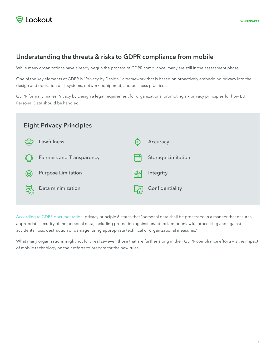# **Understanding the threats & risks to GDPR compliance from mobile**

While many organizations have already begun the process of GDPR compliance, many are still in the assessment phase.

One of the key elements of GDPR is "Privacy by Design," a framework that is based on proactively embedding privacy into the design and operation of IT systems, network equipment, and business practices.

GDPR formally makes Privacy by Design a legal requirement for organizations, promoting six privacy principles for how EU Personal Data should be handled.



[According to GDPR documentation,](http://eur-lex.europa.eu/legal-content/EN/TXT/HTML/?uri=CELEX:32016R0679&from=EN) privacy principle 6 states that "personal data shall be processed in a manner that ensures appropriate security of the personal data, including protection against unauthorized or unlawful processing and against accidental loss, destruction or damage, using appropriate technical or organizational measures."

What many organizations might not fully realize—even those that are further along in their GDPR compliance efforts—is the impact of mobile technology on their efforts to prepare for the new rules.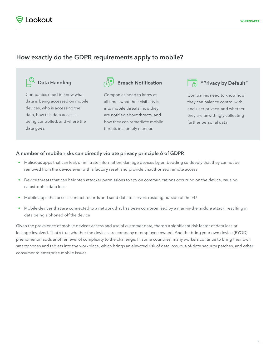# **How exactly do the GDPR requirements apply to mobile?**



**Data Handling Breach Notification All the U.S. Privacy by Default** 

Companies need to know what data is being accessed on mobile devices, who is accessing the data, how this data access is being controlled, and where the data goes.

Companies need to know at all times what their visibility is into mobile threats, how they are notified about threats, and how they can remediate mobile threats in a timely manner.



Companies need to know how they can balance control with end-user privacy, and whether they are unwittingly collecting further personal data.

### **A number of mobile risks can directly violate privacy principle 6 of GDPR**

- Malicious apps that can leak or infiltrate information, damage devices by embedding so deeply that they cannot be removed from the device even with a factory reset, and provide unauthorized remote access
- Device threats that can heighten attacker permissions to spy on communications occurring on the device, causing catastrophic data loss
- Mobile apps that access contact records and send data to servers residing outside of the EU
- Mobile devices that are connected to a network that has been compromised by a man-in-the middle attack, resulting in data being siphoned off the device

Given the prevalence of mobile devices access and use of customer data, there's a significant risk factor of data loss or leakage involved. That's true whether the devices are company or employee owned. And the bring your own device (BYOD) phenomenon adds another level of complexity to the challenge. In some countries, many workers continue to bring their own smartphones and tablets into the workplace, which brings an elevated risk of data loss, out-of-date security patches, and other consumer to enterprise mobile issues.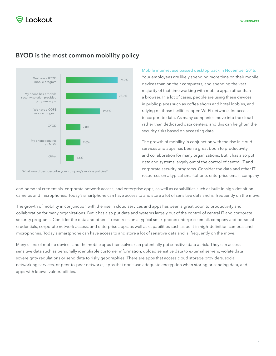# **BYOD is the most common mobility policy**



[Mobile internet use passed desktop back in November 2016](https://techcrunch.com/2016/11/01/mobile-internet-use-passes-desktop-for-the-first-time-study-finds/).

Your employees are likely spending more time on their mobile devices than on their computers, and spending the vast majority of that time working with mobile apps rather than a browser. In a lot of cases, people are using these devices in public places such as coffee shops and hotel lobbies, and relying on those facilities' open Wi-Fi networks for access to corporate data. As many companies move into the cloud rather than dedicated data centers, and this can heighten the security risks based on accessing data.

The growth of mobility in conjunction with the rise in cloud services and apps has been a great boon to productivity and collaboration for many organizations. But it has also put data and systems largely out of the control of central IT and corporate security programs. Consider the data and other IT resources on a typical smartphone: enterprise email, company

and personal credentials, corporate network access, and enterprise apps, as well as capabilities such as built-in high-definition cameras and microphones. Today's smartphone can have access to and store a lot of sensitive data and is frequently on the move.

The growth of mobility in conjunction with the rise in cloud services and apps has been a great boon to productivity and collaboration for many organizations. But it has also put data and systems largely out of the control of central IT and corporate security programs. Consider the data and other IT resources on a typical smartphone: enterprise email, company and personal credentials, corporate network access, and enterprise apps, as well as capabilities such as built-in high-definition cameras and microphones. Today's smartphone can have access to and store a lot of sensitive data and is frequently on the move.

Many users of mobile devices and the mobile apps themselves can potentially put sensitive data at risk. They can access sensitive data such as personally identifiable customer information, upload sensitive data to external servers, violate data sovereignty regulations or send data to risky geographies. There are apps that access cloud storage providers, social networking services, or peer-to-peer networks, apps that don't use adequate encryption when storing or sending data, and apps with known vulnerabilities.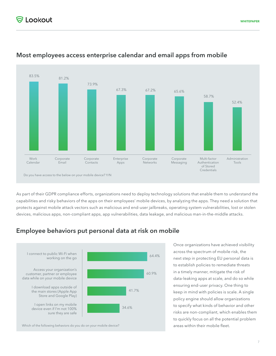

# **Most employees access enterprise calendar and email apps from mobile**

As part of their GDPR compliance efforts, organizations need to deploy technology solutions that enable them to understand the capabilities and risky behaviors of the apps on their employees' mobile devices, by analyzing the apps. They need a solution that protects against mobile attack vectors such as malicious and end-user jailbreaks, operating system vulnerabilities, lost or stolen devices, malicious apps, non-compliant apps, app vulnerabilities, data leakage, and malicious man-in-the-middle attacks.

# **Employee behaviors put personal data at risk on mobile**



Once organizations have achieved visibility across the spectrum of mobile risk, the next step in protecting EU personal data is to establish policies to remediate threats in a timely manner, mitigate the risk of data-leaking apps at scale, and do so while ensuring end-user privacy. One thing to keep in mind with policies is scale. A single policy engine should allow organizations to specify what kinds of behavior and other risks are non-compliant, which enables them to quickly focus on all the potential problem areas within their mobile fleet.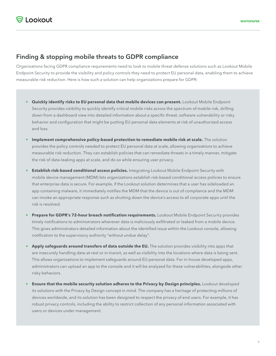# **Finding & stopping mobile threats to GDPR compliance**

Organizations facing GDPR compliance requirements need to look to mobile threat defense solutions such as Lookout Mobile Endpoint Security to provide the visibility and policy controls they need to protect EU personal data, enabling them to achieve measurable risk reduction. Here is how such a solution can help organizations prepare for GDPR:

- **• Quickly identify risks to EU personal data that mobile devices can present.** Lookout Mobile Endpoint Security provides visibility to quickly identify critical mobile risks across the spectrum of mobile risk, drilling down from a dashboard view into detailed information about a specific threat, software vulnerability or risky behavior and configuration that might be putting EU personal data elements at risk of unauthorized access and loss.
- **• Implement comprehensive policy-based protection to remediate mobile risk at scale.** The solution provides the policy controls needed to protect EU personal data at scale, allowing organizations to achieve measurable risk reduction. They can establish policies that can remediate threats in a timely manner, mitigate the risk of data-leaking apps at scale, and do so while ensuring user privacy.
- **• Establish risk-based conditional access policies.** Integrating Lookout Mobile Endpoint Security with mobile device management (MDM) lets organizations establish risk-based conditional access policies to ensure that enterprise data is secure. For example, if the Lookout solution determines that a user has sideloaded an app containing malware, it immediately notifies the MDM that the device is out of compliance and the MDM can invoke an appropriate response such as shutting down the device's access to all corporate apps until the risk is resolved.
- **• Prepare for GDPR's 72-hour breach notification requirements.** Lookout Mobile Endpoint Security provides timely notifications to administrators whenever data is maliciously exfiltrated or leaked from a mobile device. This gives administrators detailed information about the identified issue within the Lookout console, allowing notification to the supervisory authority "without undue delay".
- **• Apply safeguards around transfers of data outside the EU.** The solution provides visibility into apps that are insecurely handling data-at-rest or in-transit, as well as visibility into the locations where data is being sent. This allows organizations to implement safeguards around EU personal data. For in-house developed apps, administrators can upload an app to the console and it will be analyzed for these vulnerabilities, alongside other risky behaviors.
- **• Ensure that the mobile security solution adheres to the Privacy by Design principles.** Lookout developed its solutions with the Privacy by Design concept in mind. The company has a heritage of protecting millions of devices worldwide, and its solution has been designed to respect the privacy of end users. For example, it has robust privacy controls, including the ability to restrict collection of any personal information associated with users or devices under management.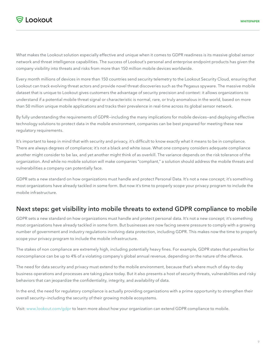What makes the Lookout solution especially effective and unique when it comes to GDPR readiness is its massive global sensor network and threat intelligence capabilities. The success of Lookout's personal and enterprise endpoint products has given the company visibility into threats and risks from more than 150 million mobile devices worldwide.

Every month millions of devices in more than 150 countries send security telemetry to the Lookout Security Cloud, ensuring that Lookout can track evolving threat actors and provide novel threat discoveries such as the Pegasus spyware. The massive mobile dataset that is unique to Lookout gives customers the advantage of security precision and context: it allows organizations to understand if a potential mobile threat signal or characteristic is normal, rare, or truly anomalous in the world, based on more than 50 million unique mobile applications and tracks their prevalence in real-time across its global sensor network.

By fully understanding the requirements of GDPR—including the many implications for mobile devices—and deploying effective technology solutions to protect data in the mobile environment, companies can be best prepared for meeting these new regulatory requirements.

It's important to keep in mind that with security and privacy, it's difficult to know exactly what it means to be in compliance. There are always degrees of compliance; it's not a black and white issue. What one company considers adequate compliance another might consider to be lax, and yet another might think of as overkill. The variance depends on the risk tolerance of the organization. And while no mobile solution will make companies "compliant," a solution should address the mobile threats and vulnerabilities a company can potentially face.

GDPR sets a new standard on how organizations must handle and protect Personal Data. It's not a new concept; it's something most organizations have already tackled in some form. But now it's time to properly scope your privacy program to include the mobile infrastructure.

## **Next steps: get visibility into mobile threats to extend GDPR compliance to mobile**

GDPR sets a new standard on how organizations must handle and protect personal data. It's not a new concept; it's something most organizations have already tackled in some form. But businesses are now facing severe pressure to comply with a growing number of government and industry regulations involving data protection, including GDPR. This makes now the time to properly scope your privacy program to include the mobile infrastructure.

The stakes of non compliance are extremely high, including potentially heavy fines. For example, GDPR states that penalties for noncompliance can be up to 4% of a violating company's global annual revenue, depending on the nature of the offence.

The need for data security and privacy must extend to the mobile environment, because that's where much of day-to-day business operations and processes are taking place today. But it also presents a host of security threats, vulnerabilities and risky behaviors that can jeopardize the confidentiality, integrity, and availability of data.

In the end, the need for regulatory compliance is actually providing organizations with a prime opportunity to strengthen their overall security—including the security of their growing mobile ecosystems.

Visit: [www.lookout.com/gdpr](http://www.lookout.com/gdpr) to learn more about how your organization can extend GDPR compliance to mobile.